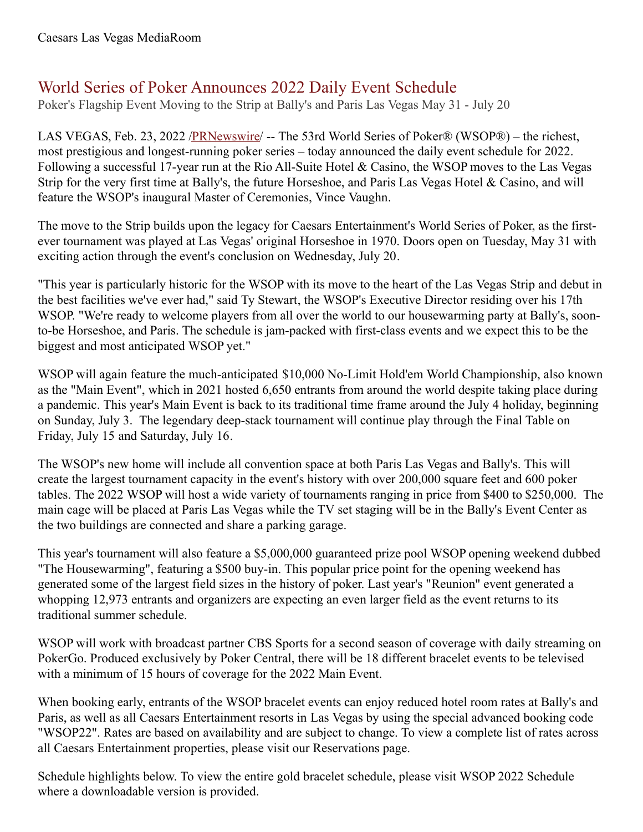# World Series of Poker Announces 2022 Daily Event Schedule

Poker's Flagship Event Moving to the Strip at Bally's and Paris Las Vegas May 31 - July 20

LAS VEGAS, Feb. 23, 2022 /**PRNewswire/** -- The 53rd World Series of Poker® (WSOP®) – the richest, most prestigious and longest-running poker series – today announced the daily event schedule for 2022. Following a successful 17-year run at the Rio All-Suite Hotel & Casino, the WSOP moves to the Las Vegas Strip for the very first time at Bally's, the future Horseshoe, and Paris Las Vegas Hotel & Casino, and will feature the WSOP's inaugural Master of Ceremonies, Vince Vaughn.

The move to the Strip builds upon the legacy for Caesars Entertainment's World Series of Poker, as the firstever tournament was played at Las Vegas' original Horseshoe in 1970. Doors open on Tuesday, May 31 with exciting action through the event's conclusion on Wednesday, July 20.

"This year is particularly historic for the WSOP with its move to the heart of the Las Vegas Strip and debut in the best facilities we've ever had," said Ty Stewart, the WSOP's Executive Director residing over his 17th WSOP. "We're ready to welcome players from all over the world to our housewarming party at Bally's, soonto-be Horseshoe, and Paris. The schedule is jam-packed with first-class events and we expect this to be the biggest and most anticipated WSOP yet."

WSOP will again feature the much-anticipated \$10,000 No-Limit Hold'em World Championship, also known as the "Main Event", which in 2021 hosted 6,650 entrants from around the world despite taking place during a pandemic. This year's Main Event is back to its traditional time frame around the July 4 holiday, beginning on Sunday, July 3. The legendary deep-stack tournament will continue play through the Final Table on Friday, July 15 and Saturday, July 16.

The WSOP's new home will include all convention space at both Paris Las Vegas and Bally's. This will create the largest tournament capacity in the event's history with over 200,000 square feet and 600 poker tables. The 2022 WSOP will host a wide variety of tournaments ranging in price from \$400 to \$250,000. The main cage will be placed at Paris Las Vegas while the TV set staging will be in the Bally's Event Center as the two buildings are connected and share a parking garage.

This year's tournament will also feature a \$5,000,000 guaranteed prize pool WSOP opening weekend dubbed "The Housewarming", featuring a \$500 buy-in. This popular price point for the opening weekend has generated some of the largest field sizes in the history of poker. Last year's "Reunion" event generated a whopping 12,973 entrants and organizers are expecting an even larger field as the event returns to its traditional summer schedule.

WSOP will work with broadcast partner CBS Sports for a second season of coverage with daily streaming on PokerGo. Produced exclusively by Poker Central, there will be 18 different bracelet events to be televised with a minimum of 15 hours of coverage for the 2022 Main Event.

When booking early, entrants of the WSOP bracelet events can enjoy reduced hotel room rates at Bally's and Paris, as well as all Caesars Entertainment resorts in Las Vegas by using the special advanced booking code "WSOP22". Rates are based on availability and are subject to change. To view a complete list of rates across all Caesars Entertainment properties, please visit our Reservations page.

Schedule highlights below. To view the entire gold bracelet schedule, please visit WSOP 2022 Schedule where a downloadable version is provided.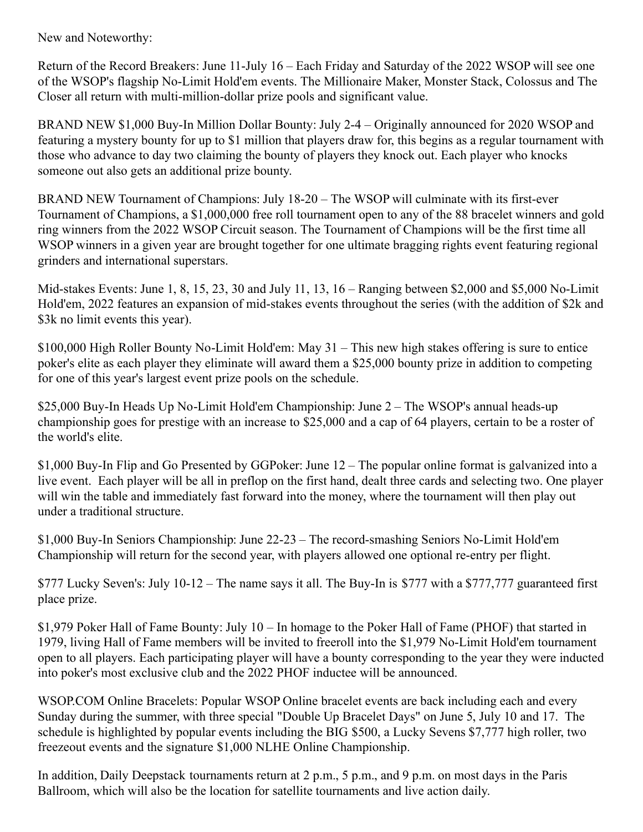New and Noteworthy:

Return of the Record Breakers: June 11-July 16 – Each Friday and Saturday of the 2022 WSOP will see one of the WSOP's flagship No-Limit Hold'em events. The Millionaire Maker, Monster Stack, Colossus and The Closer all return with multi-million-dollar prize pools and significant value.

BRAND NEW \$1,000 Buy-In Million Dollar Bounty: July 2-4 – Originally announced for 2020 WSOP and featuring a mystery bounty for up to \$1 million that players draw for, this begins as a regular tournament with those who advance to day two claiming the bounty of players they knock out. Each player who knocks someone out also gets an additional prize bounty.

BRAND NEW Tournament of Champions: July 18-20 – The WSOP will culminate with its first-ever Tournament of Champions, a \$1,000,000 free roll tournament open to any of the 88 bracelet winners and gold ring winners from the 2022 WSOP Circuit season. The Tournament of Champions will be the first time all WSOP winners in a given year are brought together for one ultimate bragging rights event featuring regional grinders and international superstars.

Mid-stakes Events: June 1, 8, 15, 23, 30 and July 11, 13, 16 – Ranging between \$2,000 and \$5,000 No-Limit Hold'em, 2022 features an expansion of mid-stakes events throughout the series (with the addition of \$2k and \$3k no limit events this year).

\$100,000 High Roller Bounty No-Limit Hold'em: May 31 – This new high stakes offering is sure to entice poker's elite as each player they eliminate will award them a \$25,000 bounty prize in addition to competing for one of this year's largest event prize pools on the schedule.

\$25,000 Buy-In Heads Up No-Limit Hold'em Championship: June 2 – The WSOP's annual heads-up championship goes for prestige with an increase to \$25,000 and a cap of 64 players, certain to be a roster of the world's elite.

\$1,000 Buy-In Flip and Go Presented by GGPoker: June 12 – The popular online format is galvanized into a live event. Each player will be all in preflop on the first hand, dealt three cards and selecting two. One player will win the table and immediately fast forward into the money, where the tournament will then play out under a traditional structure.

\$1,000 Buy-In Seniors Championship: June 22-23 – The record-smashing Seniors No-Limit Hold'em Championship will return for the second year, with players allowed one optional re-entry per flight.

\$777 Lucky Seven's: July 10-12 – The name says it all. The Buy-In is \$777 with a \$777,777 guaranteed first place prize.

\$1,979 Poker Hall of Fame Bounty: July 10 – In homage to the Poker Hall of Fame (PHOF) that started in 1979, living Hall of Fame members will be invited to freeroll into the \$1,979 No-Limit Hold'em tournament open to all players. Each participating player will have a bounty corresponding to the year they were inducted into poker's most exclusive club and the 2022 PHOF inductee will be announced.

WSOP.COM Online Bracelets: Popular WSOP Online bracelet events are back including each and every Sunday during the summer, with three special "Double Up Bracelet Days" on June 5, July 10 and 17. The schedule is highlighted by popular events including the BIG \$500, a Lucky Sevens \$7,777 high roller, two freezeout events and the signature \$1,000 NLHE Online Championship.

In addition, Daily Deepstack tournaments return at 2 p.m., 5 p.m., and 9 p.m. on most days in the Paris Ballroom, which will also be the location for satellite tournaments and live action daily.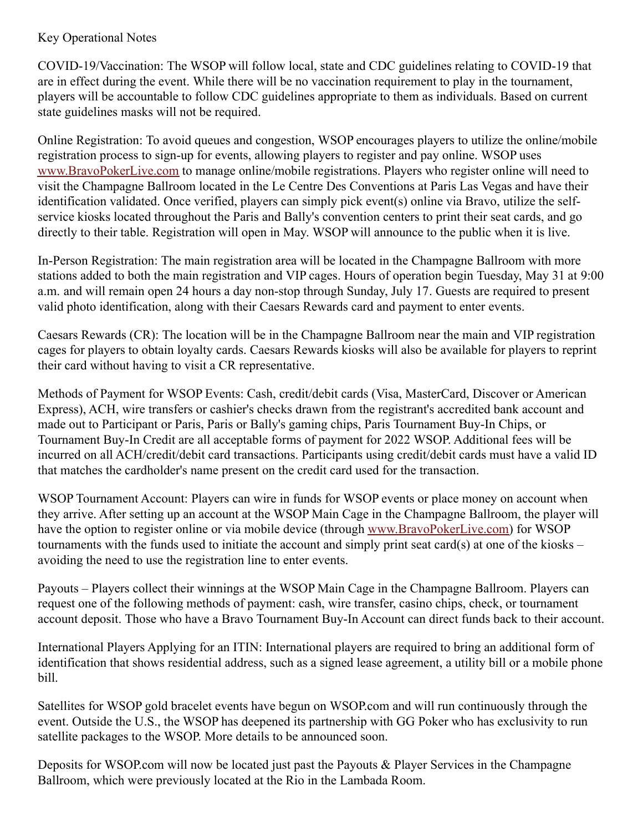### Key Operational Notes

COVID-19/Vaccination: The WSOP will follow local, state and CDC guidelines relating to COVID-19 that are in effect during the event. While there will be no vaccination requirement to play in the tournament, players will be accountable to follow CDC guidelines appropriate to them as individuals. Based on current state guidelines masks will not be required.

Online Registration: To avoid queues and congestion, WSOP encourages players to utilize the online/mobile registration process to sign-up for events, allowing players to register and pay online. WSOP uses [www.BravoPokerLive.com](http://www.bravopokerlive.com) to manage online/mobile registrations. Players who register online will need to visit the Champagne Ballroom located in the Le Centre Des Conventions at Paris Las Vegas and have their identification validated. Once verified, players can simply pick event(s) online via Bravo, utilize the selfservice kiosks located throughout the Paris and Bally's convention centers to print their seat cards, and go directly to their table. Registration will open in May. WSOP will announce to the public when it is live.

In-Person Registration: The main registration area will be located in the Champagne Ballroom with more stations added to both the main registration and VIP cages. Hours of operation begin Tuesday, May 31 at 9:00 a.m. and will remain open 24 hours a day non-stop through Sunday, July 17. Guests are required to present valid photo identification, along with their Caesars Rewards card and payment to enter events.

Caesars Rewards (CR): The location will be in the Champagne Ballroom near the main and VIP registration cages for players to obtain loyalty cards. Caesars Rewards kiosks will also be available for players to reprint their card without having to visit a CR representative.

Methods of Payment for WSOP Events: Cash, credit/debit cards (Visa, MasterCard, Discover or American Express), ACH, wire transfers or cashier's checks drawn from the registrant's accredited bank account and made out to Participant or Paris, Paris or Bally's gaming chips, Paris Tournament Buy-In Chips, or Tournament Buy-In Credit are all acceptable forms of payment for 2022 WSOP. Additional fees will be incurred on all ACH/credit/debit card transactions. Participants using credit/debit cards must have a valid ID that matches the cardholder's name present on the credit card used for the transaction.

WSOP Tournament Account: Players can wire in funds for WSOP events or place money on account when they arrive. After setting up an account at the WSOP Main Cage in the Champagne Ballroom, the player will have the option to register online or via mobile device (through [www.BravoPokerLive.com](http://www.bravopokerlive.com)) for WSOP tournaments with the funds used to initiate the account and simply print seat card(s) at one of the kiosks – avoiding the need to use the registration line to enter events.

Payouts – Players collect their winnings at the WSOP Main Cage in the Champagne Ballroom. Players can request one of the following methods of payment: cash, wire transfer, casino chips, check, or tournament account deposit. Those who have a Bravo Tournament Buy-In Account can direct funds back to their account.

International Players Applying for an ITIN: International players are required to bring an additional form of identification that shows residential address, such as a signed lease agreement, a utility bill or a mobile phone bill.

Satellites for WSOP gold bracelet events have begun on WSOP.com and will run continuously through the event. Outside the U.S., the WSOP has deepened its partnership with GG Poker who has exclusivity to run satellite packages to the WSOP. More details to be announced soon.

Deposits for WSOP.com will now be located just past the Payouts & Player Services in the Champagne Ballroom, which were previously located at the Rio in the Lambada Room.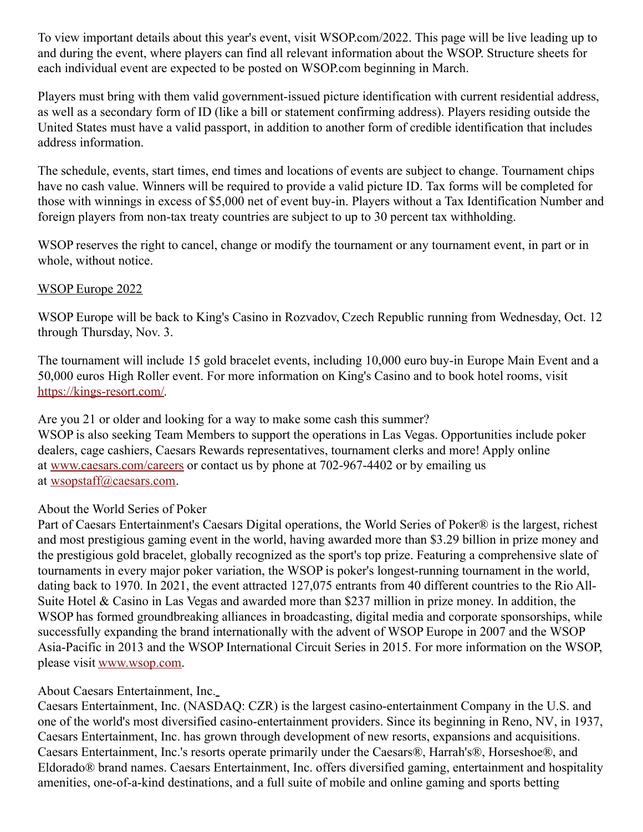To view important details about this year's event, visit WSOP.com/2022. This page will be live leading up to and during the event, where players can find all relevant information about the WSOP. Structure sheets for each individual event are expected to be posted on WSOP.com beginning in March.

Players must bring with them valid government-issued picture identification with current residential address, as well as a secondary form of ID (like a bill or statement confirming address). Players residing outside the United States must have a valid passport, in addition to another form of credible identification that includes address information.

The schedule, events, start times, end times and locations of events are subject to change. Tournament chips have no cash value. Winners will be required to provide a valid picture ID. Tax forms will be completed for those with winnings in excess of \$5,000 net of event buy-in. Players without a Tax Identification Number and foreign players from non-tax treaty countries are subject to up to 30 percent tax withholding.

WSOP reserves the right to cancel, change or modify the tournament or any tournament event, in part or in whole, without notice.

#### WSOP Europe 2022

WSOP Europe will be back to King's Casino in Rozvadov, Czech Republic running from Wednesday, Oct. 12 through Thursday, Nov. 3.

The tournament will include 15 gold bracelet events, including 10,000 euro buy-in Europe Main Event and a 50,000 euros High Roller event. For more information on King's Casino and to book hotel rooms, visit [https://kings-resort.com/](https://c212.net/c/link/?t=0&l=en&o=3452975-1&h=1225048446&u=https%3A%2F%2Fkings-resort.com%2F&a=https%3A%2F%2Fkings-resort.com%2F).

Are you 21 or older and looking for a way to make some cash this summer? WSOP is also seeking Team Members to support the operations in Las Vegas. Opportunities include poker dealers, cage cashiers, Caesars Rewards representatives, tournament clerks and more! Apply online at [www.caesars.com/careers](https://c212.net/c/link/?t=0&l=en&o=3452975-1&h=55069194&u=https%3A%2F%2Fwww.caesars.com%2Fcareers&a=www.caesars.com%2Fcareers) or contact us by phone at 702-967-4402 or by emailing us at [wsopstaff@caesars.com](mailto:wsopstaff@caesars.com).

## About the World Series of Poker

Part of Caesars Entertainment's Caesars Digital operations, the World Series of Poker® is the largest, richest and most prestigious gaming event in the world, having awarded more than \$3.29 billion in prize money and the prestigious gold bracelet, globally recognized as the sport's top prize. Featuring a comprehensive slate of tournaments in every major poker variation, the WSOP is poker's longest-running tournament in the world, dating back to 1970. In 2021, the event attracted 127,075 entrants from 40 different countries to the Rio All-Suite Hotel & Casino in Las Vegas and awarded more than \$237 million in prize money. In addition, the WSOP has formed groundbreaking alliances in broadcasting, digital media and corporate sponsorships, while successfully expanding the brand internationally with the advent of WSOP Europe in 2007 and the WSOP Asia-Pacific in 2013 and the WSOP International Circuit Series in 2015. For more information on the WSOP, please visit [www.wsop.com](https://c212.net/c/link/?t=0&l=en&o=3452975-1&h=756094207&u=https%3A%2F%2Fc212.net%2Fc%2Flink%2F%3Ft%3D0%26l%3Den%26o%3D3362871-1%26h%3D458220424%26u%3Dhttp%253A%252F%252Fwww.wsop.com%252F%26a%3Dwww.wsop.com&a=www.wsop.com).

## About Caesars Entertainment, Inc.

Caesars Entertainment, Inc. (NASDAQ: CZR) is the largest casino-entertainment Company in the U.S. and one of the world's most diversified casino-entertainment providers. Since its beginning in Reno, NV, in 1937, Caesars Entertainment, Inc. has grown through development of new resorts, expansions and acquisitions. Caesars Entertainment, Inc.'s resorts operate primarily under the Caesars®, Harrah's®, Horseshoe®, and Eldorado® brand names. Caesars Entertainment, Inc. offers diversified gaming, entertainment and hospitality amenities, one-of-a-kind destinations, and a full suite of mobile and online gaming and sports betting